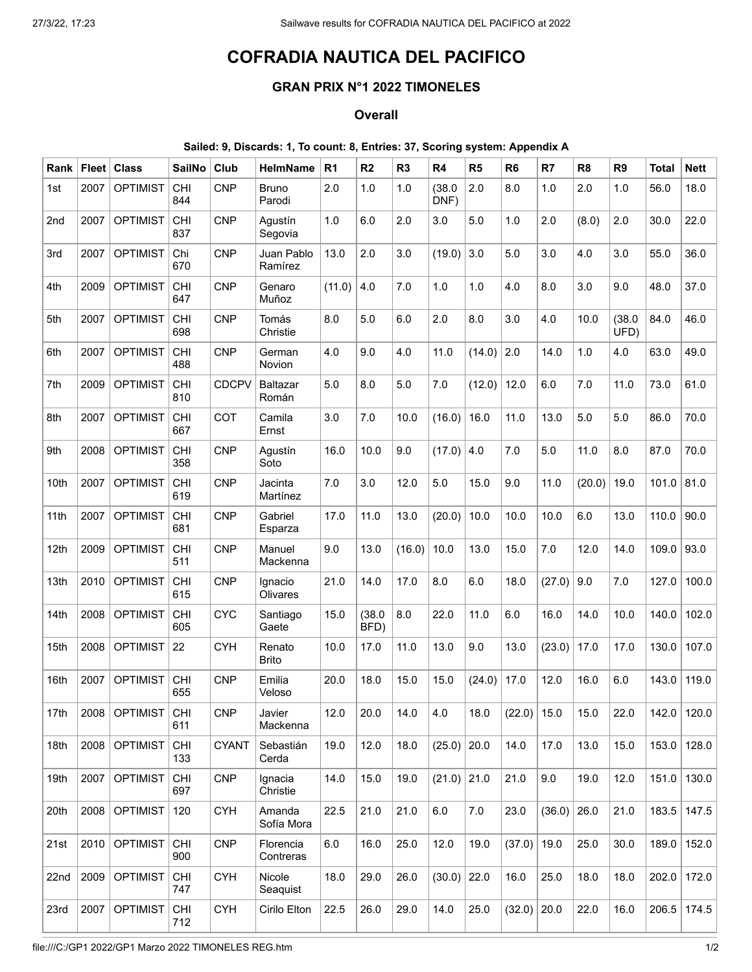## COFRADIA NAUTICA DEL PACIFICO

## GRAN PRIX N°1 2022 TIMONELES

## **Overall**

## Sailed: 9, Discards: 1, To count: 8, Entries: 37, Scoring system: Appendix A

| Rank | Fleet | <b>Class</b>    | <b>SailNo</b>     | Club         | <b>HelmName</b>          | R <sub>1</sub> | R <sub>2</sub> | R <sub>3</sub> | R <sub>4</sub> | R5      | R <sub>6</sub>      | R7     | R <sub>8</sub> | R <sub>9</sub> | <b>Total</b> | <b>Nett</b> |
|------|-------|-----------------|-------------------|--------------|--------------------------|----------------|----------------|----------------|----------------|---------|---------------------|--------|----------------|----------------|--------------|-------------|
| 1st  | 2007  | <b>OPTIMIST</b> | CHI<br>844        | <b>CNP</b>   | <b>Bruno</b><br>Parodi   | 2.0            | 1.0            | 1.0            | (38.0)<br>DNF) | 2.0     | 8.0                 | 1.0    | 2.0            | 1.0            | 56.0         | 18.0        |
| 2nd  | 2007  | <b>OPTIMIST</b> | CHI<br>837        | <b>CNP</b>   | Agustín<br>Segovia       | 1.0            | 6.0            | 2.0            | 3.0            | 5.0     | 1.0                 | 2.0    | (8.0)          | 2.0            | 30.0         | 22.0        |
| 3rd  | 2007  | <b>OPTIMIST</b> | Chi<br>670        | <b>CNP</b>   | Juan Pablo<br>Ramírez    | 13.0           | 2.0            | 3.0            | (19.0)         | 3.0     | 5.0                 | 3.0    | 4.0            | 3.0            | 55.0         | 36.0        |
| 4th  | 2009  | <b>OPTIMIST</b> | CHI<br>647        | <b>CNP</b>   | Genaro<br>Muñoz          | (11.0)         | 4.0            | 7.0            | 1.0            | 1.0     | 4.0                 | 8.0    | 3.0            | 9.0            | 48.0         | 37.0        |
| 5th  | 2007  | <b>OPTIMIST</b> | CHI<br>698        | <b>CNP</b>   | Tomás<br>Christie        | 8.0            | 5.0            | 6.0            | 2.0            | 8.0     | 3.0                 | 4.0    | 10.0           | (38.0)<br>UFD) | 84.0         | 46.0        |
| 6th  | 2007  | <b>OPTIMIST</b> | CHI<br>488        | <b>CNP</b>   | German<br>Novion         | 4.0            | 9.0            | 4.0            | 11.0           | (14.0)  | 2.0                 | 14.0   | 1.0            | 4.0            | 63.0         | 49.0        |
| 7th  | 2009  | <b>OPTIMIST</b> | CHI<br>810        | <b>CDCPV</b> | <b>Baltazar</b><br>Román | 5.0            | 8.0            | 5.0            | 7.0            | (12.0)  | 12.0                | 6.0    | 7.0            | 11.0           | 73.0         | 61.0        |
| 8th  | 2007  | <b>OPTIMIST</b> | CHI<br>667        | COT          | Camila<br>Ernst          | 3.0            | 7.0            | 10.0           | (16.0)         | 16.0    | 11.0                | 13.0   | 5.0            | 5.0            | 86.0         | 70.0        |
| 9th  | 2008  | <b>OPTIMIST</b> | CHI<br>358        | <b>CNP</b>   | Agustín<br>Soto          | 16.0           | 10.0           | 9.0            | (17.0)         | 4.0     | 7.0                 | 5.0    | 11.0           | 8.0            | 87.0         | 70.0        |
| 10th | 2007  | <b>OPTIMIST</b> | CHI<br>619        | <b>CNP</b>   | Jacinta<br>Martínez      | $7.0$          | 3.0            | 12.0           | 5.0            | 15.0    | 9.0                 | 11.0   | (20.0)         | 19.0           | 101.0        | 81.0        |
| 11th | 2007  | <b>OPTIMIST</b> | CHI<br>681        | <b>CNP</b>   | Gabriel<br>Esparza       | 17.0           | 11.0           | 13.0           | (20.0)         | 10.0    | 10.0                | 10.0   | 6.0            | 13.0           | 110.0        | 90.0        |
| 12th | 2009  | <b>OPTIMIST</b> | CHI<br>511        | <b>CNP</b>   | Manuel<br>Mackenna       | 9.0            | 13.0           | (16.0)         | 10.0           | 13.0    | 15.0                | 7.0    | 12.0           | 14.0           | 109.0        | 93.0        |
| 13th | 2010  | <b>OPTIMIST</b> | <b>CHI</b><br>615 | <b>CNP</b>   | Ignacio<br>Olivares      | 21.0           | 14.0           | 17.0           | 8.0            | 6.0     | 18.0                | (27.0) | 9.0            | 7.0            | 127.0        | 100.0       |
| 14th | 2008  | <b>OPTIMIST</b> | CHI<br>605        | <b>CYC</b>   | Santiago<br>Gaete        | 15.0           | (38.0)<br>BFD) | 8.0            | 22.0           | 11.0    | 6.0                 | 16.0   | 14.0           | 10.0           | 140.0        | 102.0       |
| 15th | 2008  | <b>OPTIMIST</b> | 22                | <b>CYH</b>   | Renato<br><b>Brito</b>   | 10.0           | 17.0           | 11.0           | 13.0           | 9.0     | 13.0                | (23.0) | 17.0           | 17.0           | 130.0        | 107.0       |
| 16th | 2007  | <b>OPTIMIST</b> | CHI<br>655        | <b>CNP</b>   | Emilia<br>Veloso         | 20.0           | 18.0           | 15.0           | 15.0           | (24.0)  | 17.0                | 12.0   | 16.0           | 6.0            | 143.0        | 119.0       |
| 17th |       | 2008 OPTIMIST   | CHI<br>611        | <b>CNP</b>   | Javier<br>Mackenna       | 12.0           | 20.0           | 14.0           | 4.0            |         | 18.0 $ (22.0) 15.0$ |        | 15.0           | 22.0           | 142.0        | 120.0       |
| 18th | 2008  | <b>OPTIMIST</b> | <b>CHI</b><br>133 | <b>CYANT</b> | Sebastián<br>Cerda       | 19.0           | 12.0           | 18.0           | (25.0)         | 20.0    | 14.0                | 17.0   | 13.0           | 15.0           | 153.0        | 128.0       |
| 19th | 2007  | <b>OPTIMIST</b> | <b>CHI</b><br>697 | <b>CNP</b>   | Ignacia<br>Christie      | 14.0           | 15.0           | 19.0           | (21.0)         | 21.0    | 21.0                | 9.0    | 19.0           | 12.0           | 151.0        | 130.0       |
| 20th | 2008  | <b>OPTIMIST</b> | 120               | <b>CYH</b>   | Amanda<br>Sofía Mora     | 22.5           | 21.0           | 21.0           | 6.0            | $7.0\,$ | 23.0                | (36.0) | 26.0           | 21.0           | 183.5        | 147.5       |
| 21st | 2010  | <b>OPTIMIST</b> | <b>CHI</b><br>900 | <b>CNP</b>   | Florencia<br>Contreras   | 6.0            | 16.0           | 25.0           | 12.0           | 19.0    | (37.0)              | 19.0   | 25.0           | 30.0           | 189.0        | 152.0       |
| 22nd | 2009  | <b>OPTIMIST</b> | CHI<br>747        | <b>CYH</b>   | Nicole<br>Seaquist       | 18.0           | 29.0           | 26.0           | (30.0)         | 22.0    | 16.0                | 25.0   | 18.0           | 18.0           | 202.0        | 172.0       |
| 23rd | 2007  | <b>OPTIMIST</b> | <b>CHI</b><br>712 | <b>CYH</b>   | Cirilo Elton             | 22.5           | 26.0           | 29.0           | 14.0           | 25.0    | (32.0)              | 20.0   | 22.0           | 16.0           | 206.5        | 174.5       |